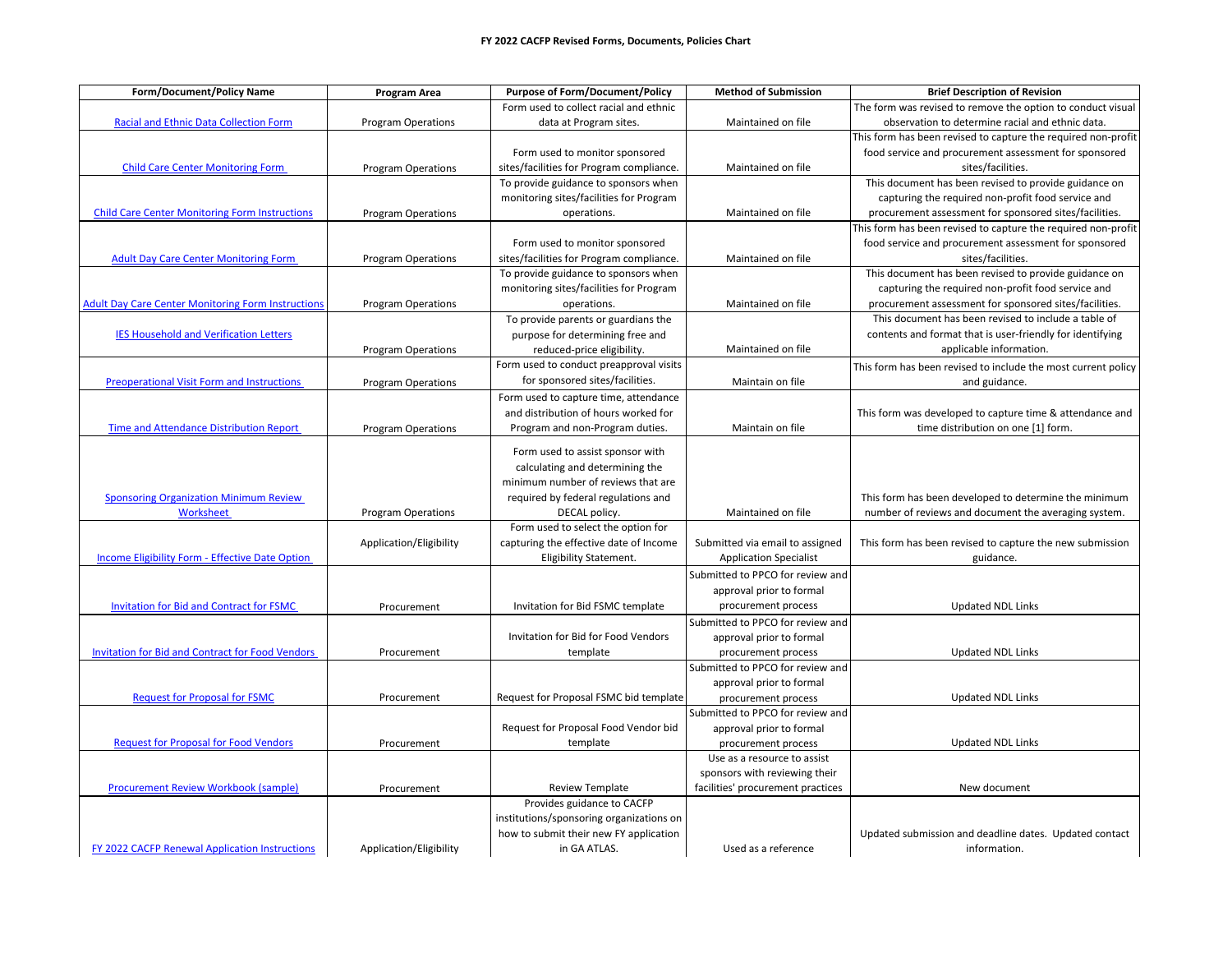| <b>Form/Document/Policy Name</b>                           | Program Area              | <b>Purpose of Form/Document/Policy</b>   | <b>Method of Submission</b>       | <b>Brief Description of Revision</b>                          |
|------------------------------------------------------------|---------------------------|------------------------------------------|-----------------------------------|---------------------------------------------------------------|
|                                                            |                           | Form used to collect racial and ethnic   |                                   | The form was revised to remove the option to conduct visual   |
| <b>Racial and Ethnic Data Collection Form</b>              | <b>Program Operations</b> | data at Program sites.                   | Maintained on file                | observation to determine racial and ethnic data.              |
|                                                            |                           |                                          |                                   | This form has been revised to capture the required non-profit |
|                                                            |                           | Form used to monitor sponsored           |                                   | food service and procurement assessment for sponsored         |
| <b>Child Care Center Monitoring Form</b>                   | <b>Program Operations</b> | sites/facilities for Program compliance. | Maintained on file                | sites/facilities.                                             |
|                                                            |                           | To provide guidance to sponsors when     |                                   | This document has been revised to provide guidance on         |
|                                                            |                           | monitoring sites/facilities for Program  |                                   | capturing the required non-profit food service and            |
| <b>Child Care Center Monitoring Form Instructions</b>      | <b>Program Operations</b> | operations.                              | Maintained on file                | procurement assessment for sponsored sites/facilities.        |
|                                                            |                           |                                          |                                   | This form has been revised to capture the required non-profit |
|                                                            |                           | Form used to monitor sponsored           |                                   | food service and procurement assessment for sponsored         |
| <b>Adult Day Care Center Monitoring Form</b>               | <b>Program Operations</b> | sites/facilities for Program compliance. | Maintained on file                | sites/facilities.                                             |
|                                                            |                           | To provide guidance to sponsors when     |                                   | This document has been revised to provide guidance on         |
|                                                            |                           | monitoring sites/facilities for Program  |                                   | capturing the required non-profit food service and            |
| <b>Adult Day Care Center Monitoring Form Instructions</b>  | <b>Program Operations</b> | operations.                              | Maintained on file                | procurement assessment for sponsored sites/facilities.        |
|                                                            |                           | To provide parents or guardians the      |                                   | This document has been revised to include a table of          |
| <b>IES Household and Verification Letters</b>              |                           | purpose for determining free and         |                                   | contents and format that is user-friendly for identifying     |
|                                                            | <b>Program Operations</b> | reduced-price eligibility.               | Maintained on file                | applicable information.                                       |
|                                                            |                           | Form used to conduct preapproval visits  |                                   | This form has been revised to include the most current policy |
| Preoperational Visit Form and Instructions                 | <b>Program Operations</b> | for sponsored sites/facilities.          | Maintain on file                  | and guidance.                                                 |
|                                                            |                           | Form used to capture time, attendance    |                                   |                                                               |
|                                                            |                           | and distribution of hours worked for     |                                   | This form was developed to capture time & attendance and      |
| <b>Time and Attendance Distribution Report</b>             | <b>Program Operations</b> | Program and non-Program duties.          | Maintain on file                  | time distribution on one [1] form.                            |
|                                                            |                           |                                          |                                   |                                                               |
|                                                            |                           | Form used to assist sponsor with         |                                   |                                                               |
|                                                            |                           | calculating and determining the          |                                   |                                                               |
|                                                            |                           | minimum number of reviews that are       |                                   |                                                               |
| <b>Sponsoring Organization Minimum Review</b><br>Worksheet |                           | required by federal regulations and      |                                   | This form has been developed to determine the minimum         |
|                                                            | <b>Program Operations</b> | DECAL policy.                            | Maintained on file                | number of reviews and document the averaging system.          |
|                                                            |                           | Form used to select the option for       |                                   |                                                               |
|                                                            | Application/Eligibility   | capturing the effective date of Income   | Submitted via email to assigned   | This form has been revised to capture the new submission      |
| Income Eligibility Form - Effective Date Option            |                           | <b>Eligibility Statement.</b>            | <b>Application Specialist</b>     | guidance.                                                     |
|                                                            |                           |                                          | Submitted to PPCO for review and  |                                                               |
|                                                            |                           |                                          | approval prior to formal          |                                                               |
| <b>Invitation for Bid and Contract for FSMC</b>            | Procurement               | Invitation for Bid FSMC template         | procurement process               | <b>Updated NDL Links</b>                                      |
|                                                            |                           |                                          | Submitted to PPCO for review and  |                                                               |
|                                                            |                           | Invitation for Bid for Food Vendors      | approval prior to formal          |                                                               |
| Invitation for Bid and Contract for Food Vendors           | Procurement               | template                                 | procurement process               | <b>Updated NDL Links</b>                                      |
|                                                            |                           |                                          | Submitted to PPCO for review and  |                                                               |
|                                                            |                           |                                          | approval prior to formal          |                                                               |
| <b>Request for Proposal for FSMC</b>                       | Procurement               | Request for Proposal FSMC bid template   | procurement process               | <b>Updated NDL Links</b>                                      |
|                                                            |                           |                                          | Submitted to PPCO for review and  |                                                               |
|                                                            |                           | Request for Proposal Food Vendor bid     | approval prior to formal          |                                                               |
| <b>Request for Proposal for Food Vendors</b>               | Procurement               | template                                 | procurement process               | <b>Updated NDL Links</b>                                      |
|                                                            |                           |                                          | Use as a resource to assist       |                                                               |
|                                                            |                           |                                          | sponsors with reviewing their     |                                                               |
| <b>Procurement Review Workbook (sample)</b>                | Procurement               | <b>Review Template</b>                   | facilities' procurement practices | New document                                                  |
|                                                            |                           | Provides guidance to CACFP               |                                   |                                                               |
|                                                            |                           | institutions/sponsoring organizations on |                                   |                                                               |
|                                                            |                           | how to submit their new FY application   |                                   | Updated submission and deadline dates. Updated contact        |
| FY 2022 CACFP Renewal Application Instructions             | Application/Eligibility   | in GA ATLAS.                             | Used as a reference               | information.                                                  |